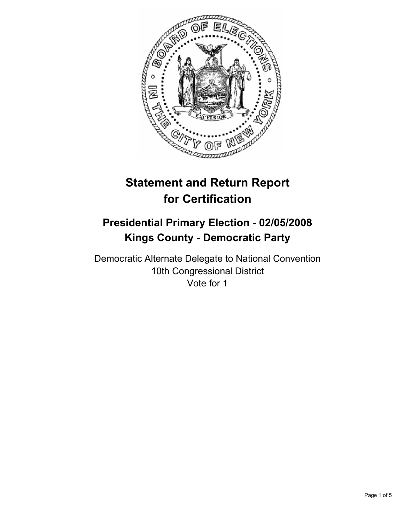

# **Statement and Return Report for Certification**

## **Presidential Primary Election - 02/05/2008 Kings County - Democratic Party**

Democratic Alternate Delegate to National Convention 10th Congressional District Vote for 1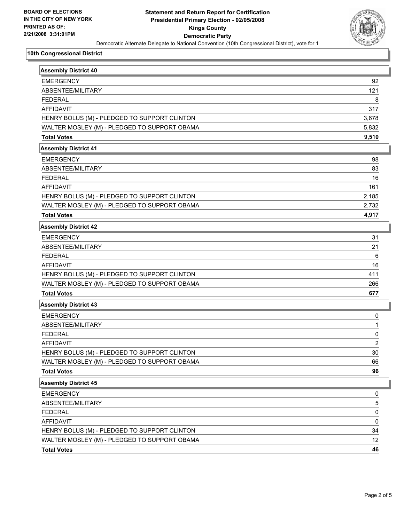

#### **10th Congressional District**

| <b>Assembly District 40</b>                  |       |
|----------------------------------------------|-------|
| <b>EMERGENCY</b>                             | 92    |
| ABSENTEE/MILITARY                            | 121   |
| <b>FEDERAL</b>                               | 8     |
| <b>AFFIDAVIT</b>                             | 317   |
| HENRY BOLUS (M) - PLEDGED TO SUPPORT CLINTON | 3,678 |
| WALTER MOSLEY (M) - PLEDGED TO SUPPORT OBAMA | 5,832 |
| <b>Total Votes</b>                           | 9,510 |
| <b>Assembly District 41</b>                  |       |
| <b>EMERGENCY</b>                             | 98    |
| ABSENTEE/MILITARY                            | 83    |
| <b>FEDERAL</b>                               | 16    |
| <b>AFFIDAVIT</b>                             | 161   |
| HENRY BOLUS (M) - PLEDGED TO SUPPORT CLINTON | 2,185 |
| WALTER MOSLEY (M) - PLEDGED TO SUPPORT OBAMA | 2,732 |
| <b>Total Votes</b>                           | 4,917 |
| <b>Assembly District 42</b>                  |       |
| <b>EMERGENCY</b>                             | 31    |
| ABSENTEE/MILITARY                            | 21    |
| <b>FEDERAL</b>                               | 6     |
| <b>AFFIDAVIT</b>                             | 16    |
| HENRY BOLUS (M) - PLEDGED TO SUPPORT CLINTON | 411   |
| WALTER MOSLEY (M) - PLEDGED TO SUPPORT OBAMA | 266   |
| <b>Total Votes</b>                           | 677   |
| <b>Assembly District 43</b>                  |       |
| <b>EMERGENCY</b>                             | 0     |
| <b>ABSENTEE/MILITARY</b>                     | 1     |
| <b>FEDERAL</b>                               | 0     |
| <b>AFFIDAVIT</b>                             | 2     |
| HENRY BOLUS (M) - PLEDGED TO SUPPORT CLINTON | 30    |
| WALTER MOSLEY (M) - PLEDGED TO SUPPORT OBAMA | 66    |
| <b>Total Votes</b>                           | 96    |
| <b>Assembly District 45</b>                  |       |
| <b>EMERGENCY</b>                             | 0     |
| ABSENTEE/MILITARY                            | 5     |
| <b>FEDERAL</b>                               | 0     |
| <b>AFFIDAVIT</b>                             | 0     |
| HENRY BOLUS (M) - PLEDGED TO SUPPORT CLINTON | 34    |
| WALTER MOSLEY (M) - PLEDGED TO SUPPORT OBAMA | 12    |
| <b>Total Votes</b>                           | 46    |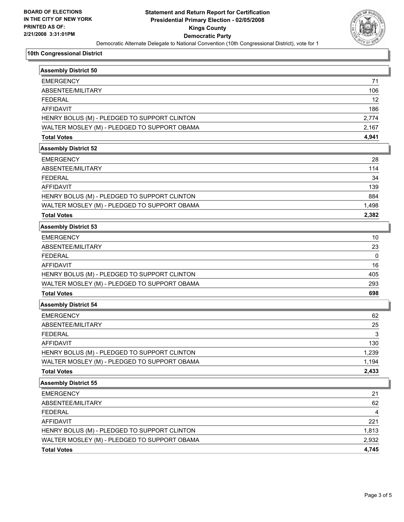

#### **10th Congressional District**

| <b>Assembly District 50</b>                  |       |
|----------------------------------------------|-------|
| <b>EMERGENCY</b>                             | 71    |
| ABSENTEE/MILITARY                            | 106   |
| <b>FEDERAL</b>                               | 12    |
| <b>AFFIDAVIT</b>                             | 186   |
| HENRY BOLUS (M) - PLEDGED TO SUPPORT CLINTON | 2,774 |
| WALTER MOSLEY (M) - PLEDGED TO SUPPORT OBAMA | 2,167 |
| <b>Total Votes</b>                           | 4,941 |
| <b>Assembly District 52</b>                  |       |
| <b>EMERGENCY</b>                             | 28    |
| ABSENTEE/MILITARY                            | 114   |
| <b>FEDERAL</b>                               | 34    |
| <b>AFFIDAVIT</b>                             | 139   |
| HENRY BOLUS (M) - PLEDGED TO SUPPORT CLINTON | 884   |
| WALTER MOSLEY (M) - PLEDGED TO SUPPORT OBAMA | 1,498 |
| <b>Total Votes</b>                           | 2,382 |
| <b>Assembly District 53</b>                  |       |
| <b>EMERGENCY</b>                             | 10    |
| ABSENTEE/MILITARY                            | 23    |
| <b>FEDERAL</b>                               | 0     |
| <b>AFFIDAVIT</b>                             | 16    |
| HENRY BOLUS (M) - PLEDGED TO SUPPORT CLINTON | 405   |
| WALTER MOSLEY (M) - PLEDGED TO SUPPORT OBAMA | 293   |
| <b>Total Votes</b>                           | 698   |
| <b>Assembly District 54</b>                  |       |
| <b>EMERGENCY</b>                             | 62    |
| ABSENTEE/MILITARY                            | 25    |
| <b>FEDERAL</b>                               | 3     |
| <b>AFFIDAVIT</b>                             | 130   |
| HENRY BOLUS (M) - PLEDGED TO SUPPORT CLINTON | 1,239 |
| WALTER MOSLEY (M) - PLEDGED TO SUPPORT OBAMA | 1,194 |
| <b>Total Votes</b>                           | 2,433 |
| <b>Assembly District 55</b>                  |       |
| <b>EMERGENCY</b>                             | 21    |
| ABSENTEE/MILITARY                            | 62    |
| <b>FEDERAL</b>                               | 4     |
| <b>AFFIDAVIT</b>                             | 221   |
| HENRY BOLUS (M) - PLEDGED TO SUPPORT CLINTON | 1,813 |
| WALTER MOSLEY (M) - PLEDGED TO SUPPORT OBAMA | 2,932 |
| <b>Total Votes</b>                           | 4,745 |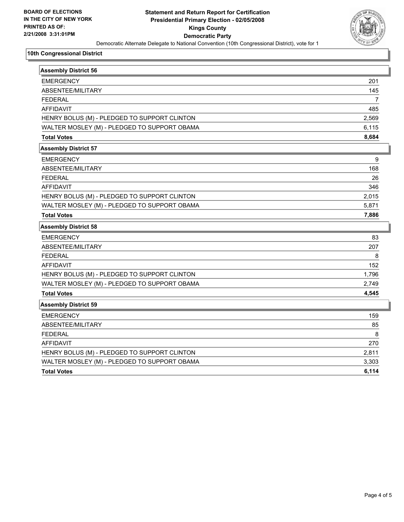

#### **10th Congressional District**

| Assembly District 56                         |                |
|----------------------------------------------|----------------|
| <b>EMERGENCY</b>                             | 201            |
| ABSENTEE/MILITARY                            | 145            |
| <b>FEDERAL</b>                               | $\overline{7}$ |
| <b>AFFIDAVIT</b>                             | 485            |
| HENRY BOLUS (M) - PLEDGED TO SUPPORT CLINTON | 2,569          |
| WALTER MOSLEY (M) - PLEDGED TO SUPPORT OBAMA | 6,115          |
| <b>Total Votes</b>                           | 8,684          |
| <b>Assembly District 57</b>                  |                |
| <b>EMERGENCY</b>                             | 9              |
| ABSENTEE/MILITARY                            | 168            |
| <b>FEDERAL</b>                               | 26             |
| <b>AFFIDAVIT</b>                             | 346            |
| HENRY BOLUS (M) - PLEDGED TO SUPPORT CLINTON | 2,015          |
| WALTER MOSLEY (M) - PLEDGED TO SUPPORT OBAMA | 5,871          |
| <b>Total Votes</b>                           | 7,886          |
| <b>Assembly District 58</b>                  |                |
| <b>EMERGENCY</b>                             | 83             |
| ABSENTEE/MILITARY                            | 207            |
| <b>FEDERAL</b>                               | 8              |
| <b>AFFIDAVIT</b>                             | 152            |
| HENRY BOLUS (M) - PLEDGED TO SUPPORT CLINTON | 1,796          |
| WALTER MOSLEY (M) - PLEDGED TO SUPPORT OBAMA | 2,749          |
| <b>Total Votes</b>                           | 4,545          |
| <b>Assembly District 59</b>                  |                |
| <b>EMERGENCY</b>                             | 159            |
| ABSENTEE/MILITARY                            | 85             |
| <b>FEDERAL</b>                               | 8              |
| <b>AFFIDAVIT</b>                             | 270            |
| HENRY BOLUS (M) - PLEDGED TO SUPPORT CLINTON | 2,811          |
| WALTER MOSLEY (M) - PLEDGED TO SUPPORT OBAMA | 3,303          |
| <b>Total Votes</b>                           | 6,114          |